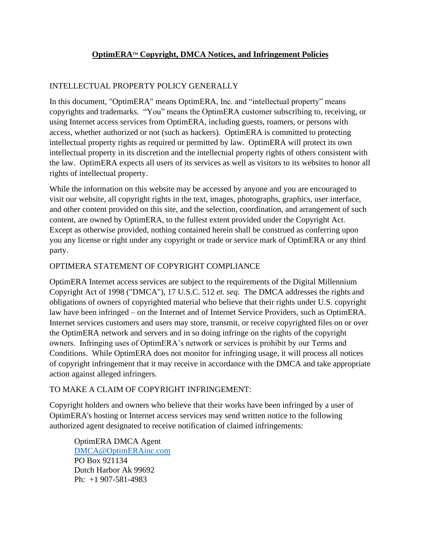# **OptimERATM Copyright, DMCA Notices, and Infringement Policies**

## INTELLECTUAL PROPERTY POLICY GENERALLY

In this document, "OptimERA" means OptimERA, Inc. and "intellectual property" means copyrights and trademarks. "You" means the OptimERA customer subscribing to, receiving, or using Internet access services from OptimERA, including guests, roamers, or persons with access, whether authorized or not (such as hackers). OptimERA is committed to protecting intellectual property rights as required or permitted by law. OptimERA will protect its own intellectual property in its discretion and the intellectual property rights of others consistent with the law. OptimERA expects all users of its services as well as visitors to its websites to honor all rights of intellectual property.

While the information on this website may be accessed by anyone and you are encouraged to visit our website, all copyright rights in the text, images, photographs, graphics, user interface, and other content provided on this site, and the selection, coordination, and arrangement of such content, are owned by OptimERA, to the fullest extent provided under the Copyright Act. Except as otherwise provided, nothing contained herein shall be construed as conferring upon you any license or right under any copyright or trade or service mark of OptimERA or any third party.

### OPTIMERA STATEMENT OF COPYRIGHT COMPLIANCE

OptimERA Internet access services are subject to the requirements of the Digital Millennium Copyright Act of 1998 ("DMCA"), 17 U.S.C. 512 *et. seq*. The DMCA addresses the rights and obligations of owners of copyrighted material who believe that their rights under U.S. copyright law have been infringed – on the Internet and of Internet Service Providers, such as OptimERA. Internet services customers and users may store, transmit, or receive copyrighted files on or over the OptimERA network and servers and in so doing infringe on the rights of the copyright owners. Infringing uses of OptimERA's network or services is prohibit by our Terms and Conditions. While OptimERA does not monitor for infringing usage, it will process all notices of copyright infringement that it may receive in accordance with the DMCA and take appropriate action against alleged infringers.

#### TO MAKE A CLAIM OF COPYRIGHT INFRINGEMENT:

Copyright holders and owners who believe that their works have been infringed by a user of OptimERA's hosting or Internet access services may send written notice to the following authorized agent designated to receive notification of claimed infringements:

OptimERA DMCA Agent [DMCA@OptimERAinc.com](mailto:DMCA@OptimERAinc.com) PO Box 921134 Dutch Harbor Ak 99692 Ph: +1 907-581-4983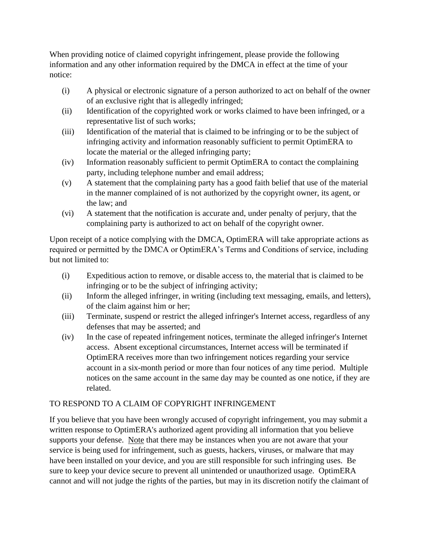When providing notice of claimed copyright infringement, please provide the following information and any other information required by the DMCA in effect at the time of your notice:

- (i) A physical or electronic signature of a person authorized to act on behalf of the owner of an exclusive right that is allegedly infringed;
- (ii) Identification of the copyrighted work or works claimed to have been infringed, or a representative list of such works;
- (iii) Identification of the material that is claimed to be infringing or to be the subject of infringing activity and information reasonably sufficient to permit OptimERA to locate the material or the alleged infringing party;
- (iv) Information reasonably sufficient to permit OptimERA to contact the complaining party, including telephone number and email address;
- (v) A statement that the complaining party has a good faith belief that use of the material in the manner complained of is not authorized by the copyright owner, its agent, or the law; and
- (vi) A statement that the notification is accurate and, under penalty of perjury, that the complaining party is authorized to act on behalf of the copyright owner.

Upon receipt of a notice complying with the DMCA, OptimERA will take appropriate actions as required or permitted by the DMCA or OptimERA's Terms and Conditions of service, including but not limited to:

- (i) Expeditious action to remove, or disable access to, the material that is claimed to be infringing or to be the subject of infringing activity;
- (ii) Inform the alleged infringer, in writing (including text messaging, emails, and letters), of the claim against him or her;
- (iii) Terminate, suspend or restrict the alleged infringer's Internet access, regardless of any defenses that may be asserted; and
- (iv) In the case of repeated infringement notices, terminate the alleged infringer's Internet access. Absent exceptional circumstances, Internet access will be terminated if OptimERA receives more than two infringement notices regarding your service account in a six-month period or more than four notices of any time period. Multiple notices on the same account in the same day may be counted as one notice, if they are related.

# TO RESPOND TO A CLAIM OF COPYRIGHT INFRINGEMENT

If you believe that you have been wrongly accused of copyright infringement, you may submit a written response to OptimERA's authorized agent providing all information that you believe supports your defense. Note that there may be instances when you are not aware that your service is being used for infringement, such as guests, hackers, viruses, or malware that may have been installed on your device, and you are still responsible for such infringing uses. Be sure to keep your device secure to prevent all unintended or unauthorized usage. OptimERA cannot and will not judge the rights of the parties, but may in its discretion notify the claimant of